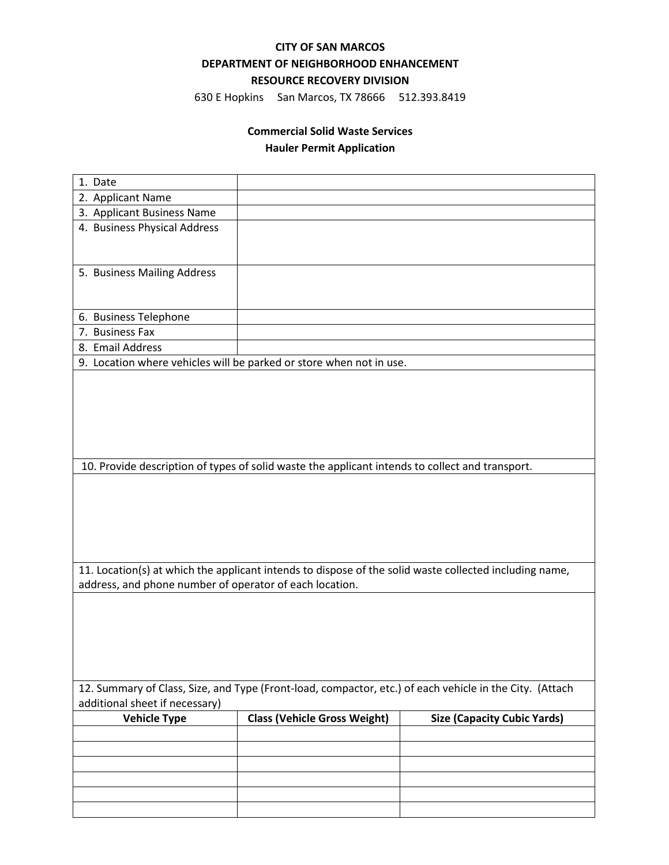#### **CITY OF SAN MARCOS**

### **DEPARTMENT OF NEIGHBORHOOD ENHANCEMENT**

# **RESOURCE RECOVERY DIVISION**

630 E Hopkins San Marcos, TX 78666 512.393.8419

## **Commercial Solid Waste Services**

## **Hauler Permit Application**

| 1. Date                                                 |                                                                                                 |                                                                                                         |  |
|---------------------------------------------------------|-------------------------------------------------------------------------------------------------|---------------------------------------------------------------------------------------------------------|--|
| 2. Applicant Name                                       |                                                                                                 |                                                                                                         |  |
| 3. Applicant Business Name                              |                                                                                                 |                                                                                                         |  |
| 4. Business Physical Address                            |                                                                                                 |                                                                                                         |  |
|                                                         |                                                                                                 |                                                                                                         |  |
| 5. Business Mailing Address                             |                                                                                                 |                                                                                                         |  |
|                                                         |                                                                                                 |                                                                                                         |  |
| 6. Business Telephone                                   |                                                                                                 |                                                                                                         |  |
| 7. Business Fax                                         |                                                                                                 |                                                                                                         |  |
| 8. Email Address                                        |                                                                                                 |                                                                                                         |  |
|                                                         | 9. Location where vehicles will be parked or store when not in use.                             |                                                                                                         |  |
|                                                         |                                                                                                 |                                                                                                         |  |
|                                                         |                                                                                                 |                                                                                                         |  |
|                                                         |                                                                                                 |                                                                                                         |  |
|                                                         |                                                                                                 |                                                                                                         |  |
|                                                         |                                                                                                 |                                                                                                         |  |
|                                                         | 10. Provide description of types of solid waste the applicant intends to collect and transport. |                                                                                                         |  |
|                                                         |                                                                                                 |                                                                                                         |  |
|                                                         |                                                                                                 |                                                                                                         |  |
|                                                         |                                                                                                 |                                                                                                         |  |
|                                                         |                                                                                                 |                                                                                                         |  |
|                                                         |                                                                                                 |                                                                                                         |  |
|                                                         |                                                                                                 |                                                                                                         |  |
|                                                         |                                                                                                 | 11. Location(s) at which the applicant intends to dispose of the solid waste collected including name,  |  |
| address, and phone number of operator of each location. |                                                                                                 |                                                                                                         |  |
|                                                         |                                                                                                 |                                                                                                         |  |
|                                                         |                                                                                                 |                                                                                                         |  |
|                                                         |                                                                                                 |                                                                                                         |  |
|                                                         |                                                                                                 |                                                                                                         |  |
|                                                         |                                                                                                 |                                                                                                         |  |
|                                                         |                                                                                                 |                                                                                                         |  |
| additional sheet if necessary)                          |                                                                                                 | 12. Summary of Class, Size, and Type (Front-load, compactor, etc.) of each vehicle in the City. (Attach |  |
| <b>Vehicle Type</b>                                     | <b>Class (Vehicle Gross Weight)</b>                                                             | <b>Size (Capacity Cubic Yards)</b>                                                                      |  |
|                                                         |                                                                                                 |                                                                                                         |  |
|                                                         |                                                                                                 |                                                                                                         |  |
|                                                         |                                                                                                 |                                                                                                         |  |
|                                                         |                                                                                                 |                                                                                                         |  |
|                                                         |                                                                                                 |                                                                                                         |  |
|                                                         |                                                                                                 |                                                                                                         |  |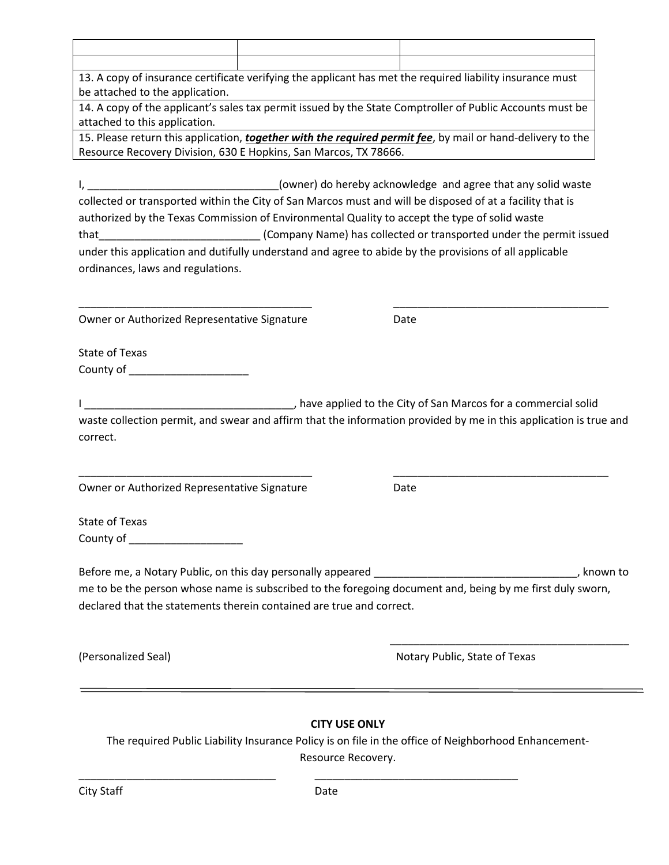| be attached to the application.                                                                        | 13. A copy of insurance certificate verifying the applicant has met the required liability insurance must         |
|--------------------------------------------------------------------------------------------------------|-------------------------------------------------------------------------------------------------------------------|
|                                                                                                        | 14. A copy of the applicant's sales tax permit issued by the State Comptroller of Public Accounts must be         |
| attached to this application.                                                                          |                                                                                                                   |
|                                                                                                        | 15. Please return this application, together with the required permit fee, by mail or hand-delivery to the        |
| Resource Recovery Division, 630 E Hopkins, San Marcos, TX 78666.                                       |                                                                                                                   |
|                                                                                                        |                                                                                                                   |
| $I_{\prime}$                                                                                           | (owner) do hereby acknowledge and agree that any solid waste                                                      |
|                                                                                                        | collected or transported within the City of San Marcos must and will be disposed of at a facility that is         |
| authorized by the Texas Commission of Environmental Quality to accept the type of solid waste          |                                                                                                                   |
| that <b>the community of the community of the community</b>                                            | (Company Name) has collected or transported under the permit issued                                               |
| under this application and dutifully understand and agree to abide by the provisions of all applicable |                                                                                                                   |
| ordinances, laws and regulations.                                                                      |                                                                                                                   |
|                                                                                                        |                                                                                                                   |
|                                                                                                        |                                                                                                                   |
| Owner or Authorized Representative Signature                                                           | Date                                                                                                              |
|                                                                                                        |                                                                                                                   |
| <b>State of Texas</b>                                                                                  |                                                                                                                   |
| County of <b>Example 2018</b>                                                                          |                                                                                                                   |
|                                                                                                        |                                                                                                                   |
| correct.                                                                                               | waste collection permit, and swear and affirm that the information provided by me in this application is true and |
| Owner or Authorized Representative Signature                                                           | Date                                                                                                              |
| <b>State of Texas</b>                                                                                  |                                                                                                                   |
| County of ____________________                                                                         |                                                                                                                   |
|                                                                                                        |                                                                                                                   |
|                                                                                                        |                                                                                                                   |
|                                                                                                        | me to be the person whose name is subscribed to the foregoing document and, being by me first duly sworn,         |
| declared that the statements therein contained are true and correct.                                   |                                                                                                                   |
|                                                                                                        |                                                                                                                   |
| (Personalized Seal)                                                                                    | Notary Public, State of Texas                                                                                     |
|                                                                                                        |                                                                                                                   |
|                                                                                                        |                                                                                                                   |
|                                                                                                        |                                                                                                                   |
|                                                                                                        |                                                                                                                   |
|                                                                                                        | <b>CITY USE ONLY</b>                                                                                              |
|                                                                                                        | The required Public Liability Insurance Policy is on file in the office of Neighborhood Enhancement-              |
|                                                                                                        | Resource Recovery.                                                                                                |

\_\_\_\_\_\_\_\_\_\_\_\_\_\_\_\_\_\_\_\_\_\_\_\_\_\_\_\_\_\_\_\_\_ \_\_\_\_\_\_\_\_\_\_\_\_\_\_\_\_\_\_\_\_\_\_\_\_\_\_\_\_\_\_\_\_\_\_